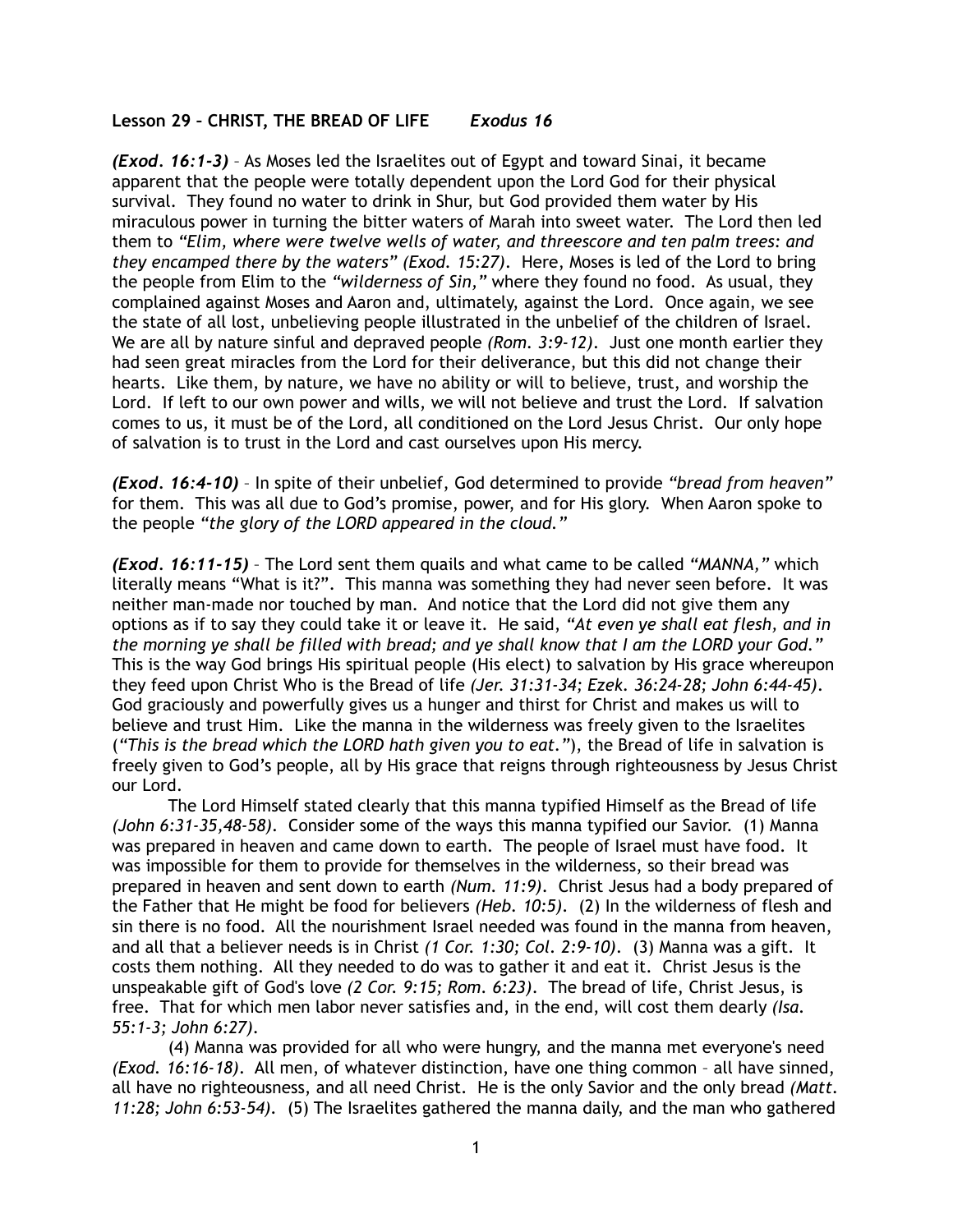## **Lesson 29 – CHRIST, THE BREAD OF LIFE** *Exodus 16*

*(Exod. 16:1-3)* – As Moses led the Israelites out of Egypt and toward Sinai, it became apparent that the people were totally dependent upon the Lord God for their physical survival. They found no water to drink in Shur, but God provided them water by His miraculous power in turning the bitter waters of Marah into sweet water. The Lord then led them to *"Elim, where were twelve wells of water, and threescore and ten palm trees: and they encamped there by the waters" (Exod. 15:27)*. Here, Moses is led of the Lord to bring the people from Elim to the *"wilderness of Sin,"* where they found no food. As usual, they complained against Moses and Aaron and, ultimately, against the Lord. Once again, we see the state of all lost, unbelieving people illustrated in the unbelief of the children of Israel. We are all by nature sinful and depraved people *(Rom. 3:9-12)*. Just one month earlier they had seen great miracles from the Lord for their deliverance, but this did not change their hearts. Like them, by nature, we have no ability or will to believe, trust, and worship the Lord. If left to our own power and wills, we will not believe and trust the Lord. If salvation comes to us, it must be of the Lord, all conditioned on the Lord Jesus Christ. Our only hope of salvation is to trust in the Lord and cast ourselves upon His mercy.

*(Exod. 16:4-10)* – In spite of their unbelief, God determined to provide *"bread from heaven"* for them. This was all due to God's promise, power, and for His glory. When Aaron spoke to the people *"the glory of the LORD appeared in the cloud."*

*(Exod. 16:11-15)* – The Lord sent them quails and what came to be called *"MANNA,"* which literally means "What is it?". This manna was something they had never seen before. It was neither man-made nor touched by man. And notice that the Lord did not give them any options as if to say they could take it or leave it. He said, *"At even ye shall eat flesh, and in the morning ye shall be filled with bread; and ye shall know that I am the LORD your God."* This is the way God brings His spiritual people (His elect) to salvation by His grace whereupon they feed upon Christ Who is the Bread of life *(Jer. 31:31-34; Ezek. 36:24-28; John 6:44-45)*. God graciously and powerfully gives us a hunger and thirst for Christ and makes us will to believe and trust Him. Like the manna in the wilderness was freely given to the Israelites (*"This is the bread which the LORD hath given you to eat."*), the Bread of life in salvation is freely given to God's people, all by His grace that reigns through righteousness by Jesus Christ our Lord.

 The Lord Himself stated clearly that this manna typified Himself as the Bread of life *(John 6:31-35,48-58)*. Consider some of the ways this manna typified our Savior. (1) Manna was prepared in heaven and came down to earth. The people of Israel must have food. It was impossible for them to provide for themselves in the wilderness, so their bread was prepared in heaven and sent down to earth *(Num. 11:9)*. Christ Jesus had a body prepared of the Father that He might be food for believers *(Heb. 10:5)*. (2) In the wilderness of flesh and sin there is no food. All the nourishment Israel needed was found in the manna from heaven, and all that a believer needs is in Christ *(1 Cor. 1:30; Col. 2:9-10)*. (3) Manna was a gift. It costs them nothing. All they needed to do was to gather it and eat it. Christ Jesus is the unspeakable gift of God's love *(2 Cor. 9:15; Rom. 6:23)*. The bread of life, Christ Jesus, is free. That for which men labor never satisfies and, in the end, will cost them dearly *(Isa. 55:1-3; John 6:27)*.

 (4) Manna was provided for all who were hungry, and the manna met everyone's need *(Exod. 16:16-18)*. All men, of whatever distinction, have one thing common – all have sinned, all have no righteousness, and all need Christ. He is the only Savior and the only bread *(Matt. 11:28; John 6:53-54).* (5) The Israelites gathered the manna daily, and the man who gathered